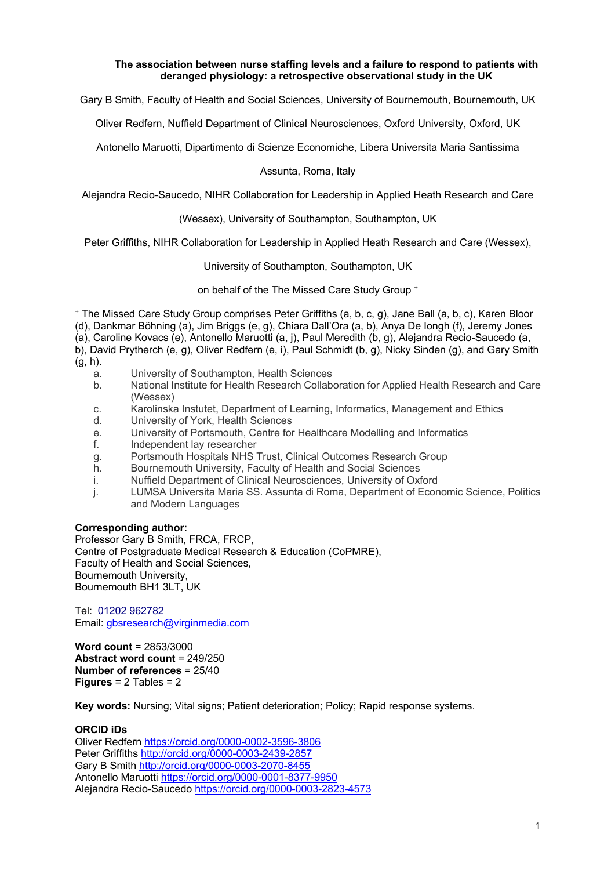## **The association between nurse staffing levels and a failure to respond to patients with deranged physiology: a retrospective observational study in the UK**

Gary B Smith, Faculty of Health and Social Sciences, University of Bournemouth, Bournemouth, UK

Oliver Redfern, Nuffield Department of Clinical Neurosciences, Oxford University, Oxford, UK

Antonello Maruotti, Dipartimento di Scienze Economiche, Libera Universita Maria Santissima

## Assunta, Roma, Italy

Alejandra Recio-Saucedo, NIHR Collaboration for Leadership in Applied Heath Research and Care

(Wessex), University of Southampton, Southampton, UK

Peter Griffiths, NIHR Collaboration for Leadership in Applied Heath Research and Care (Wessex),

## University of Southampton, Southampton, UK

on behalf of the The Missed Care Study Group +

<sup>+</sup> The Missed Care Study Group comprises Peter Griffiths (a, b, c, g), Jane Ball (a, b, c), Karen Bloor (d), Dankmar Böhning (a), Jim Briggs (e, g), Chiara Dall'Ora (a, b), Anya De Iongh (f), Jeremy Jones (a), Caroline Kovacs (e), Antonello Maruotti (a, j), Paul Meredith (b, g), Alejandra Recio-Saucedo (a, b), David Prytherch (e, g), Oliver Redfern (e, i), Paul Schmidt (b, g), Nicky Sinden (g), and Gary Smith

- (g, h).
	- a. University of Southampton, Health Sciences
	- b. National Institute for Health Research Collaboration for Applied Health Research and Care (Wessex)
	- c. Karolinska Instutet, Department of Learning, Informatics, Management and Ethics
	- d. University of York, Health Sciences
	- e. University of Portsmouth, Centre for Healthcare Modelling and Informatics
	- f. Independent lay researcher
	- g. Portsmouth Hospitals NHS Trust, Clinical Outcomes Research Group
	- h. Bournemouth University, Faculty of Health and Social Sciences
	- i. Nuffield Department of Clinical Neurosciences, University of Oxford
	- j. LUMSA Universita Maria SS. Assunta di Roma, Department of Economic Science, Politics and Modern Languages

## **Corresponding author:**

Professor Gary B Smith, FRCA, FRCP, Centre of Postgraduate Medical Research & Education (CoPMRE), Faculty of Health and Social Sciences, Bournemouth University, Bournemouth BH1 3LT, UK

Tel: 01202 962782 Email: gbsresearch@virginmedia.com

**Word count** = 2853/3000 **Abstract word count** = 249/250 **Number of references** = 25/40 **Figures** = 2 Tables = 2

**Key words:** Nursing; Vital signs; Patient deterioration; Policy; Rapid response systems.

## **ORCID iDs**

Oliver Redfern https://orcid.org/0000-0002-3596-3806 Peter Griffiths http://orcid.org/0000-0003-2439-2857 Gary B Smith http://orcid.org/0000-0003-2070-8455 Antonello Maruotti https://orcid.org/0000-0001-8377-9950 Alejandra Recio-Saucedo https://orcid.org/0000-0003-2823-4573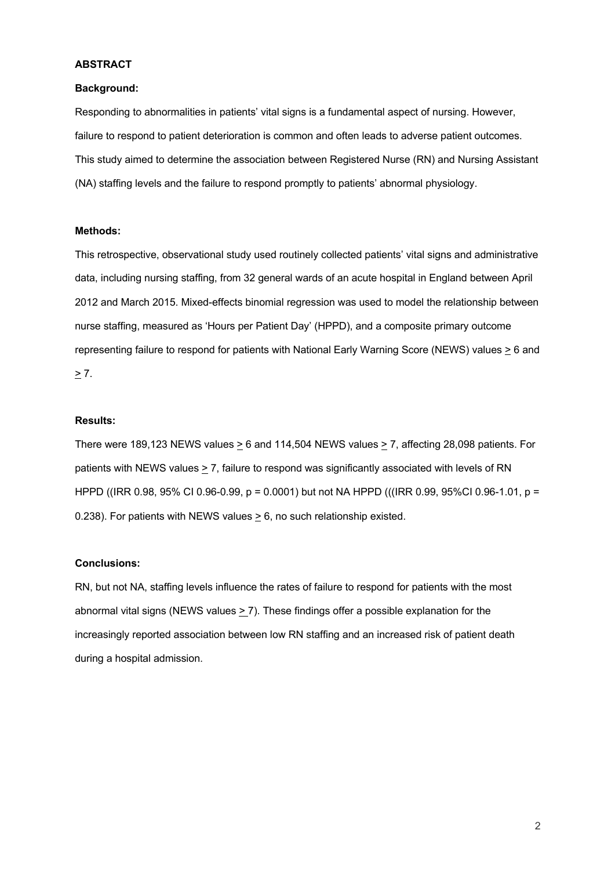## **ABSTRACT**

#### **Background:**

Responding to abnormalities in patients' vital signs is a fundamental aspect of nursing. However, failure to respond to patient deterioration is common and often leads to adverse patient outcomes. This study aimed to determine the association between Registered Nurse (RN) and Nursing Assistant (NA) staffing levels and the failure to respond promptly to patients' abnormal physiology.

## **Methods:**

This retrospective, observational study used routinely collected patients' vital signs and administrative data, including nursing staffing, from 32 general wards of an acute hospital in England between April 2012 and March 2015. Mixed-effects binomial regression was used to model the relationship between nurse staffing, measured as 'Hours per Patient Day' (HPPD), and a composite primary outcome representing failure to respond for patients with National Early Warning Score (NEWS) values > 6 and  $\geq 7$ .

#### **Results:**

There were 189,123 NEWS values  $\geq 6$  and 114,504 NEWS values  $\geq 7$ , affecting 28,098 patients. For patients with NEWS values  $\geq$  7, failure to respond was significantly associated with levels of RN HPPD ((IRR 0.98, 95% CI 0.96-0.99, p = 0.0001) but not NA HPPD (((IRR 0.99, 95%CI 0.96-1.01, p = 0.238). For patients with NEWS values > 6, no such relationship existed.

## **Conclusions:**

RN, but not NA, staffing levels influence the rates of failure to respond for patients with the most abnormal vital signs (NEWS values > 7). These findings offer a possible explanation for the increasingly reported association between low RN staffing and an increased risk of patient death during a hospital admission.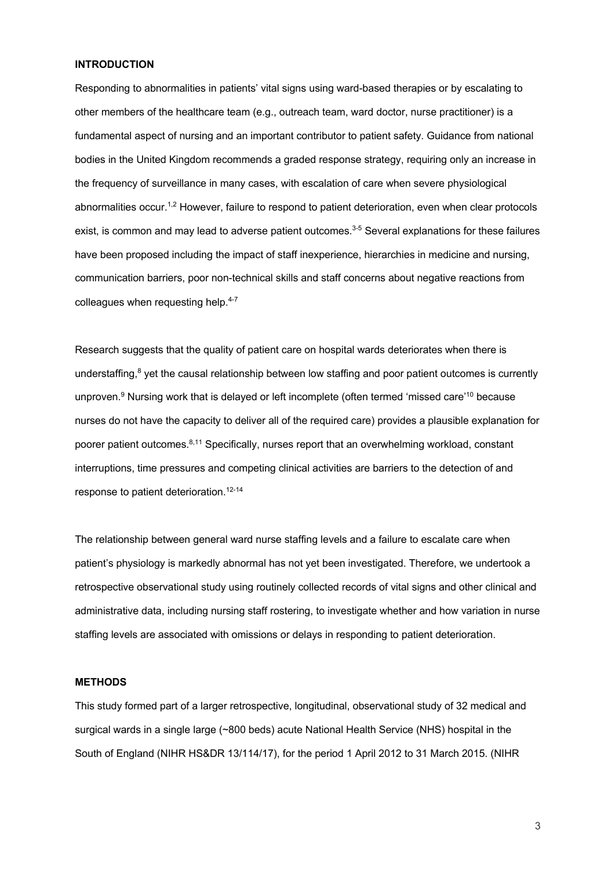## **INTRODUCTION**

Responding to abnormalities in patients' vital signs using ward-based therapies or by escalating to other members of the healthcare team (e.g., outreach team, ward doctor, nurse practitioner) is a fundamental aspect of nursing and an important contributor to patient safety. Guidance from national bodies in the United Kingdom recommends a graded response strategy, requiring only an increase in the frequency of surveillance in many cases, with escalation of care when severe physiological abnormalities occur.<sup>1,2</sup> However, failure to respond to patient deterioration, even when clear protocols exist, is common and may lead to adverse patient outcomes.<sup>3-5</sup> Several explanations for these failures have been proposed including the impact of staff inexperience, hierarchies in medicine and nursing, communication barriers, poor non-technical skills and staff concerns about negative reactions from colleagues when requesting help.<sup>4-7</sup>

Research suggests that the quality of patient care on hospital wards deteriorates when there is understaffing,<sup>8</sup> yet the causal relationship between low staffing and poor patient outcomes is currently unproven.<sup>9</sup> Nursing work that is delayed or left incomplete (often termed 'missed care'<sup>10</sup> because nurses do not have the capacity to deliver all of the required care) provides a plausible explanation for poorer patient outcomes.<sup>8,11</sup> Specifically, nurses report that an overwhelming workload, constant interruptions, time pressures and competing clinical activities are barriers to the detection of and response to patient deterioration. 12-14

The relationship between general ward nurse staffing levels and a failure to escalate care when patient's physiology is markedly abnormal has not yet been investigated. Therefore, we undertook a retrospective observational study using routinely collected records of vital signs and other clinical and administrative data, including nursing staff rostering, to investigate whether and how variation in nurse staffing levels are associated with omissions or delays in responding to patient deterioration.

#### **METHODS**

This study formed part of a larger retrospective, longitudinal, observational study of 32 medical and surgical wards in a single large (~800 beds) acute National Health Service (NHS) hospital in the South of England (NIHR HS&DR 13/114/17), for the period 1 April 2012 to 31 March 2015. (NIHR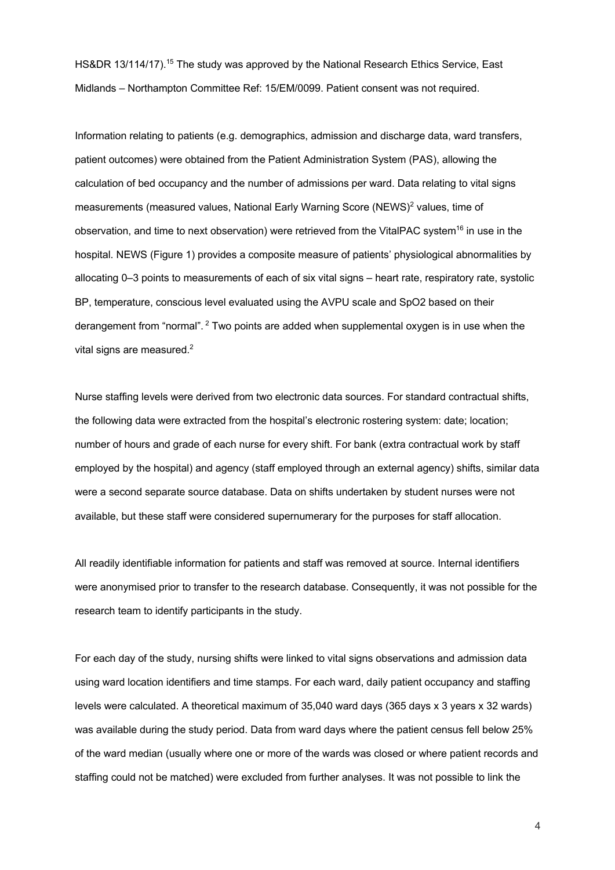HS&DR 13/114/17).<sup>15</sup> The study was approved by the National Research Ethics Service, East Midlands – Northampton Committee Ref: 15/EM/0099. Patient consent was not required.

Information relating to patients (e.g. demographics, admission and discharge data, ward transfers, patient outcomes) were obtained from the Patient Administration System (PAS), allowing the calculation of bed occupancy and the number of admissions per ward. Data relating to vital signs measurements (measured values, National Early Warning Score (NEWS)<sup>2</sup> values, time of observation, and time to next observation) were retrieved from the VitalPAC system<sup>16</sup> in use in the hospital. NEWS (Figure 1) provides a composite measure of patients' physiological abnormalities by allocating 0–3 points to measurements of each of six vital signs – heart rate, respiratory rate, systolic BP, temperature, conscious level evaluated using the AVPU scale and SpO2 based on their derangement from "normal". <sup>2</sup> Two points are added when supplemental oxygen is in use when the vital signs are measured.<sup>2</sup>

Nurse staffing levels were derived from two electronic data sources. For standard contractual shifts, the following data were extracted from the hospital's electronic rostering system: date; location; number of hours and grade of each nurse for every shift. For bank (extra contractual work by staff employed by the hospital) and agency (staff employed through an external agency) shifts, similar data were a second separate source database. Data on shifts undertaken by student nurses were not available, but these staff were considered supernumerary for the purposes for staff allocation.

All readily identifiable information for patients and staff was removed at source. Internal identifiers were anonymised prior to transfer to the research database. Consequently, it was not possible for the research team to identify participants in the study.

For each day of the study, nursing shifts were linked to vital signs observations and admission data using ward location identifiers and time stamps. For each ward, daily patient occupancy and staffing levels were calculated. A theoretical maximum of 35,040 ward days (365 days x 3 years x 32 wards) was available during the study period. Data from ward days where the patient census fell below 25% of the ward median (usually where one or more of the wards was closed or where patient records and staffing could not be matched) were excluded from further analyses. It was not possible to link the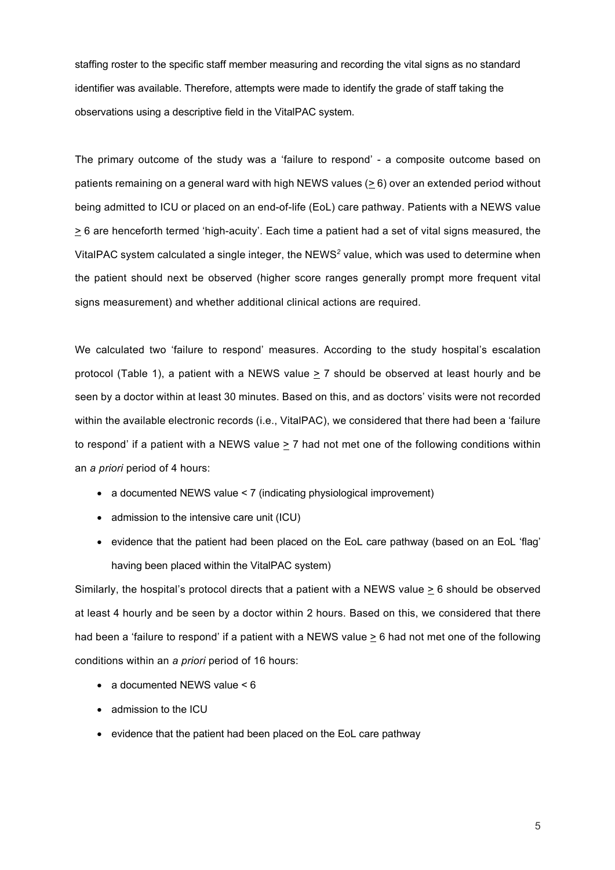staffing roster to the specific staff member measuring and recording the vital signs as no standard identifier was available. Therefore, attempts were made to identify the grade of staff taking the observations using a descriptive field in the VitalPAC system.

The primary outcome of the study was a 'failure to respond' - a composite outcome based on patients remaining on a general ward with high NEWS values  $(≥ 6)$  over an extended period without being admitted to ICU or placed on an end-of-life (EoL) care pathway. Patients with a NEWS value  $\geq$  6 are henceforth termed 'high-acuity'. Each time a patient had a set of vital signs measured, the VitalPAC system calculated a single integer, the NEWS*<sup>2</sup>* value, which was used to determine when the patient should next be observed (higher score ranges generally prompt more frequent vital signs measurement) and whether additional clinical actions are required.

We calculated two 'failure to respond' measures. According to the study hospital's escalation protocol (Table 1), a patient with a NEWS value > 7 should be observed at least hourly and be seen by a doctor within at least 30 minutes. Based on this, and as doctors' visits were not recorded within the available electronic records (i.e., VitalPAC), we considered that there had been a 'failure to respond' if a patient with a NEWS value  $\geq 7$  had not met one of the following conditions within an *a priori* period of 4 hours:

- a documented NEWS value < 7 (indicating physiological improvement)
- admission to the intensive care unit (ICU)
- evidence that the patient had been placed on the EoL care pathway (based on an EoL 'flag' having been placed within the VitalPAC system)

Similarly, the hospital's protocol directs that a patient with a NEWS value  $\geq 6$  should be observed at least 4 hourly and be seen by a doctor within 2 hours. Based on this, we considered that there had been a 'failure to respond' if a patient with a NEWS value  $\geq 6$  had not met one of the following conditions within an *a priori* period of 16 hours:

- a documented NEWS value < 6
- admission to the ICU
- evidence that the patient had been placed on the EoL care pathway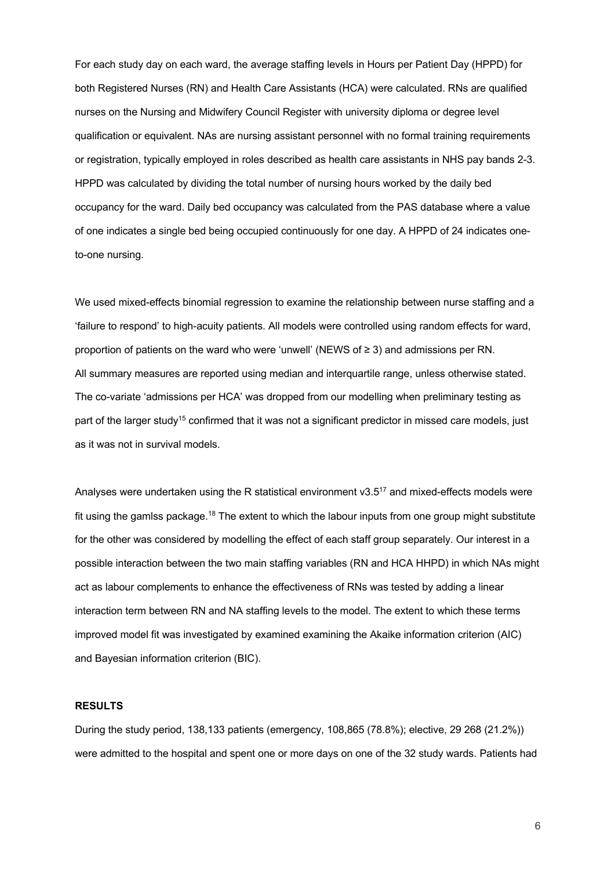For each study day on each ward, the average staffing levels in Hours per Patient Day (HPPD) for both Registered Nurses (RN) and Health Care Assistants (HCA) were calculated. RNs are qualified nurses on the Nursing and Midwifery Council Register with university diploma or degree level qualification or equivalent. NAs are nursing assistant personnel with no formal training requirements or registration, typically employed in roles described as health care assistants in NHS pay bands 2-3. HPPD was calculated by dividing the total number of nursing hours worked by the daily bed occupancy for the ward. Daily bed occupancy was calculated from the PAS database where a value of one indicates a single bed being occupied continuously for one day. A HPPD of 24 indicates oneto-one nursing.

We used mixed-effects binomial regression to examine the relationship between nurse staffing and a 'failure to respond' to high-acuity patients. All models were controlled using random effects for ward, proportion of patients on the ward who were 'unwell' (NEWS of ≥ 3) and admissions per RN. All summary measures are reported using median and interquartile range, unless otherwise stated. The co-variate 'admissions per HCA' was dropped from our modelling when preliminary testing as part of the larger study<sup>15</sup> confirmed that it was not a significant predictor in missed care models, just as it was not in survival models.

Analyses were undertaken using the R statistical environment v3.5<sup>17</sup> and mixed-effects models were fit using the gamlss package.<sup>18</sup> The extent to which the labour inputs from one group might substitute for the other was considered by modelling the effect of each staff group separately. Our interest in a possible interaction between the two main staffing variables (RN and HCA HHPD) in which NAs might act as labour complements to enhance the effectiveness of RNs was tested by adding a linear interaction term between RN and NA staffing levels to the model. The extent to which these terms improved model fit was investigated by examined examining the Akaike information criterion (AIC) and Bayesian information criterion (BIC).

## **RESULTS**

During the study period, 138,133 patients (emergency, 108,865 (78.8%); elective, 29 268 (21.2%)) were admitted to the hospital and spent one or more days on one of the 32 study wards. Patients had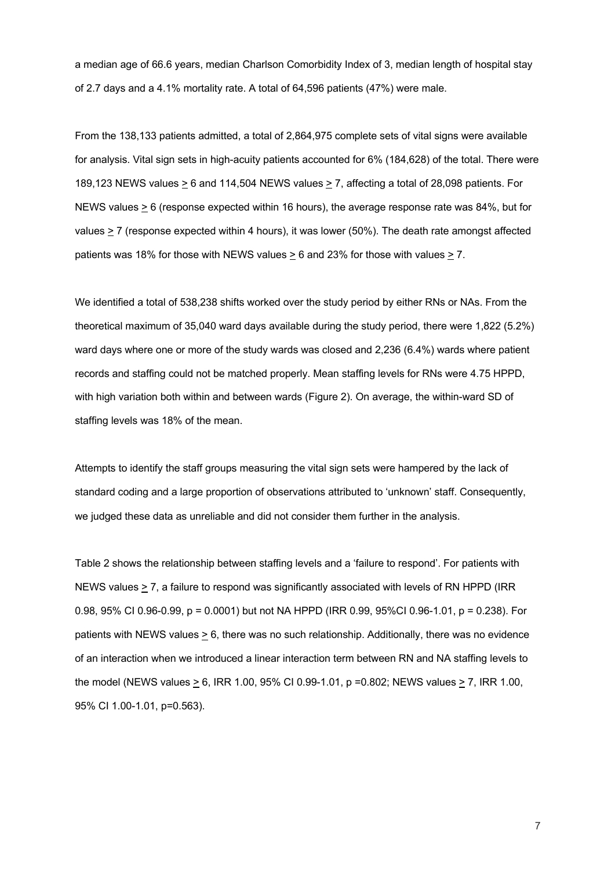a median age of 66.6 years, median Charlson Comorbidity Index of 3, median length of hospital stay of 2.7 days and a 4.1% mortality rate. A total of 64,596 patients (47%) were male.

From the 138,133 patients admitted, a total of 2,864,975 complete sets of vital signs were available for analysis. Vital sign sets in high-acuity patients accounted for 6% (184,628) of the total. There were 189,123 NEWS values  $\geq 6$  and 114,504 NEWS values  $\geq 7$ , affecting a total of 28,098 patients. For NEWS values  $\geq 6$  (response expected within 16 hours), the average response rate was 84%, but for values  $\geq$  7 (response expected within 4 hours), it was lower (50%). The death rate amongst affected patients was 18% for those with NEWS values  $\geq 6$  and 23% for those with values  $\geq 7$ .

We identified a total of 538,238 shifts worked over the study period by either RNs or NAs. From the theoretical maximum of 35,040 ward days available during the study period, there were 1,822 (5.2%) ward days where one or more of the study wards was closed and 2,236 (6.4%) wards where patient records and staffing could not be matched properly. Mean staffing levels for RNs were 4.75 HPPD, with high variation both within and between wards (Figure 2). On average, the within-ward SD of staffing levels was 18% of the mean.

Attempts to identify the staff groups measuring the vital sign sets were hampered by the lack of standard coding and a large proportion of observations attributed to 'unknown' staff. Consequently, we judged these data as unreliable and did not consider them further in the analysis.

Table 2 shows the relationship between staffing levels and a 'failure to respond'. For patients with NEWS values  $\geq$  7, a failure to respond was significantly associated with levels of RN HPPD (IRR 0.98, 95% CI 0.96-0.99, p = 0.0001) but not NA HPPD (IRR 0.99, 95%CI 0.96-1.01, p = 0.238). For patients with NEWS values > 6, there was no such relationship. Additionally, there was no evidence of an interaction when we introduced a linear interaction term between RN and NA staffing levels to the model (NEWS values > 6, IRR 1.00, 95% CI 0.99-1.01, p =0.802; NEWS values > 7, IRR 1.00, 95% CI 1.00-1.01, p=0.563).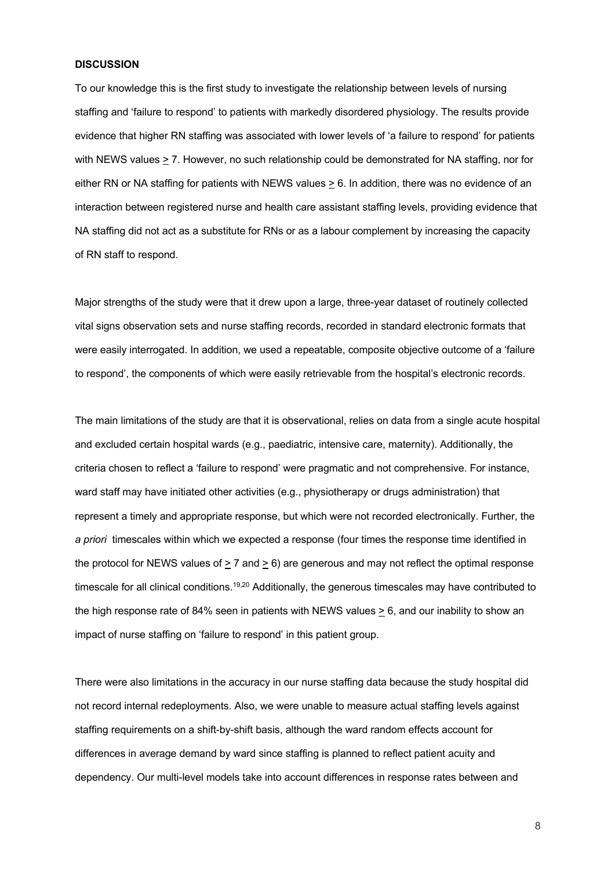## **DISCUSSION**

To our knowledge this is the first study to investigate the relationship between levels of nursing staffing and 'failure to respond' to patients with markedly disordered physiology. The results provide evidence that higher RN staffing was associated with lower levels of 'a failure to respond' for patients with NEWS values > 7. However, no such relationship could be demonstrated for NA staffing, nor for either RN or NA staffing for patients with NEWS values  $\geq 6$ . In addition, there was no evidence of an interaction between registered nurse and health care assistant staffing levels, providing evidence that NA staffing did not act as a substitute for RNs or as a labour complement by increasing the capacity of RN staff to respond.

Major strengths of the study were that it drew upon a large, three-year dataset of routinely collected vital signs observation sets and nurse staffing records, recorded in standard electronic formats that were easily interrogated. In addition, we used a repeatable, composite objective outcome of a 'failure to respond', the components of which were easily retrievable from the hospital's electronic records.

The main limitations of the study are that it is observational, relies on data from a single acute hospital and excluded certain hospital wards (e.g., paediatric, intensive care, maternity). Additionally, the criteria chosen to reflect a 'failure to respond' were pragmatic and not comprehensive. For instance, ward staff may have initiated other activities (e.g., physiotherapy or drugs administration) that represent a timely and appropriate response, but which were not recorded electronically. Further, the *a priori* timescales within which we expected a response (four times the response time identified in the protocol for NEWS values of  $> 7$  and  $> 6$ ) are generous and may not reflect the optimal response timescale for all clinical conditions.<sup>19,20</sup> Additionally, the generous timescales may have contributed to the high response rate of 84% seen in patients with NEWS values > 6, and our inability to show an impact of nurse staffing on 'failure to respond' in this patient group.

There were also limitations in the accuracy in our nurse staffing data because the study hospital did not record internal redeployments. Also, we were unable to measure actual staffing levels against staffing requirements on a shift-by-shift basis, although the ward random effects account for differences in average demand by ward since staffing is planned to reflect patient acuity and dependency. Our multi-level models take into account differences in response rates between and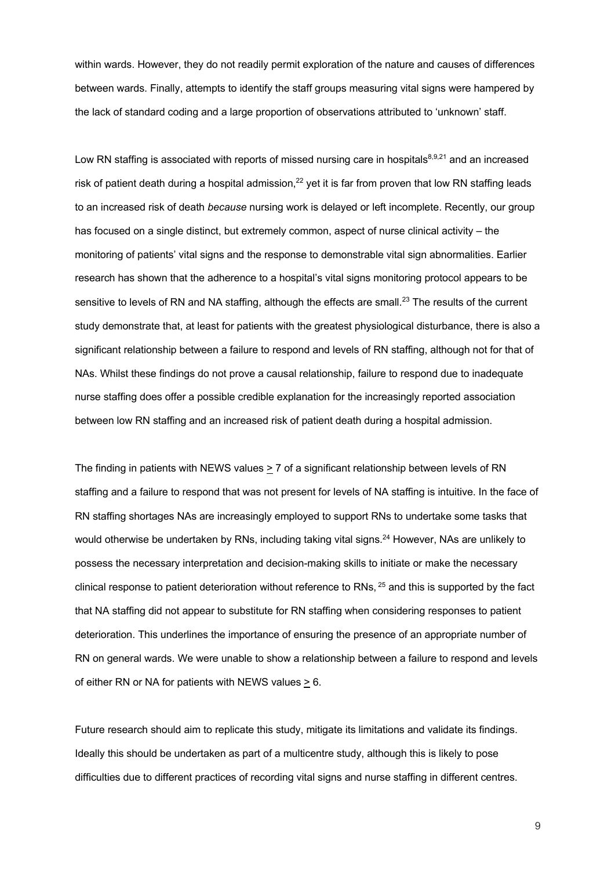within wards. However, they do not readily permit exploration of the nature and causes of differences between wards. Finally, attempts to identify the staff groups measuring vital signs were hampered by the lack of standard coding and a large proportion of observations attributed to 'unknown' staff.

Low RN staffing is associated with reports of missed nursing care in hospitals<sup>8,9,21</sup> and an increased risk of patient death during a hospital admission,<sup>22</sup> yet it is far from proven that low RN staffing leads to an increased risk of death *because* nursing work is delayed or left incomplete. Recently, our group has focused on a single distinct, but extremely common, aspect of nurse clinical activity – the monitoring of patients' vital signs and the response to demonstrable vital sign abnormalities. Earlier research has shown that the adherence to a hospital's vital signs monitoring protocol appears to be sensitive to levels of RN and NA staffing, although the effects are small.<sup>23</sup> The results of the current study demonstrate that, at least for patients with the greatest physiological disturbance, there is also a significant relationship between a failure to respond and levels of RN staffing, although not for that of NAs. Whilst these findings do not prove a causal relationship, failure to respond due to inadequate nurse staffing does offer a possible credible explanation for the increasingly reported association between low RN staffing and an increased risk of patient death during a hospital admission.

The finding in patients with NEWS values  $\geq 7$  of a significant relationship between levels of RN staffing and a failure to respond that was not present for levels of NA staffing is intuitive. In the face of RN staffing shortages NAs are increasingly employed to support RNs to undertake some tasks that would otherwise be undertaken by RNs, including taking vital signs.<sup>24</sup> However, NAs are unlikely to possess the necessary interpretation and decision-making skills to initiate or make the necessary clinical response to patient deterioration without reference to RNs, <sup>25</sup> and this is supported by the fact that NA staffing did not appear to substitute for RN staffing when considering responses to patient deterioration. This underlines the importance of ensuring the presence of an appropriate number of RN on general wards. We were unable to show a relationship between a failure to respond and levels of either RN or NA for patients with NEWS values > 6.

Future research should aim to replicate this study, mitigate its limitations and validate its findings. Ideally this should be undertaken as part of a multicentre study, although this is likely to pose difficulties due to different practices of recording vital signs and nurse staffing in different centres.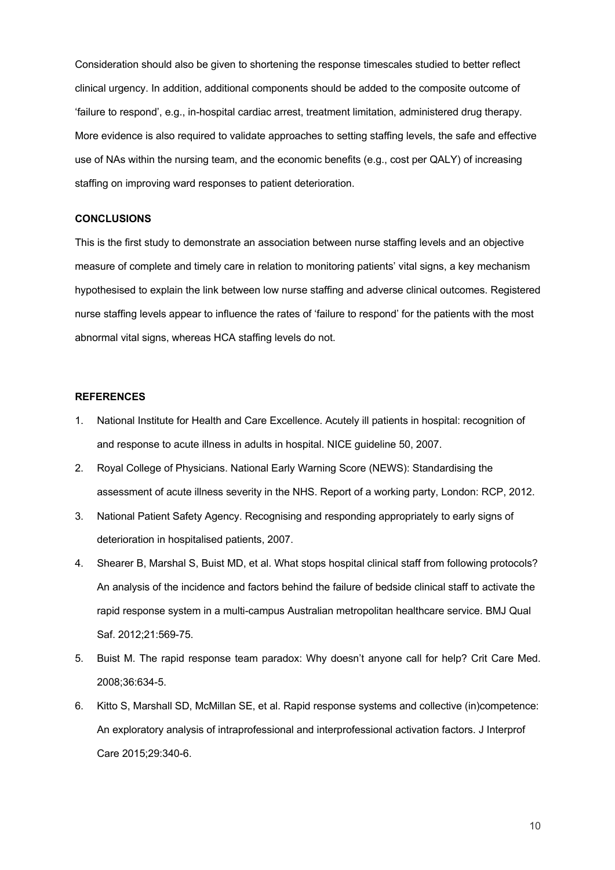Consideration should also be given to shortening the response timescales studied to better reflect clinical urgency. In addition, additional components should be added to the composite outcome of 'failure to respond', e.g., in-hospital cardiac arrest, treatment limitation, administered drug therapy. More evidence is also required to validate approaches to setting staffing levels, the safe and effective use of NAs within the nursing team, and the economic benefits (e.g., cost per QALY) of increasing staffing on improving ward responses to patient deterioration.

#### **CONCLUSIONS**

This is the first study to demonstrate an association between nurse staffing levels and an objective measure of complete and timely care in relation to monitoring patients' vital signs, a key mechanism hypothesised to explain the link between low nurse staffing and adverse clinical outcomes. Registered nurse staffing levels appear to influence the rates of 'failure to respond' for the patients with the most abnormal vital signs, whereas HCA staffing levels do not.

## **REFERENCES**

- 1. National Institute for Health and Care Excellence. Acutely ill patients in hospital: recognition of and response to acute illness in adults in hospital. NICE guideline 50, 2007.
- 2. Royal College of Physicians. National Early Warning Score (NEWS): Standardising the assessment of acute illness severity in the NHS. Report of a working party, London: RCP, 2012.
- 3. National Patient Safety Agency. Recognising and responding appropriately to early signs of deterioration in hospitalised patients, 2007.
- 4. Shearer B, Marshal S, Buist MD, et al. What stops hospital clinical staff from following protocols? An analysis of the incidence and factors behind the failure of bedside clinical staff to activate the rapid response system in a multi-campus Australian metropolitan healthcare service. BMJ Qual Saf. 2012;21:569-75.
- 5. Buist M. The rapid response team paradox: Why doesn't anyone call for help? Crit Care Med. 2008;36:634-5.
- 6. Kitto S, Marshall SD, McMillan SE, et al. Rapid response systems and collective (in)competence: An exploratory analysis of intraprofessional and interprofessional activation factors. J Interprof Care 2015;29:340-6.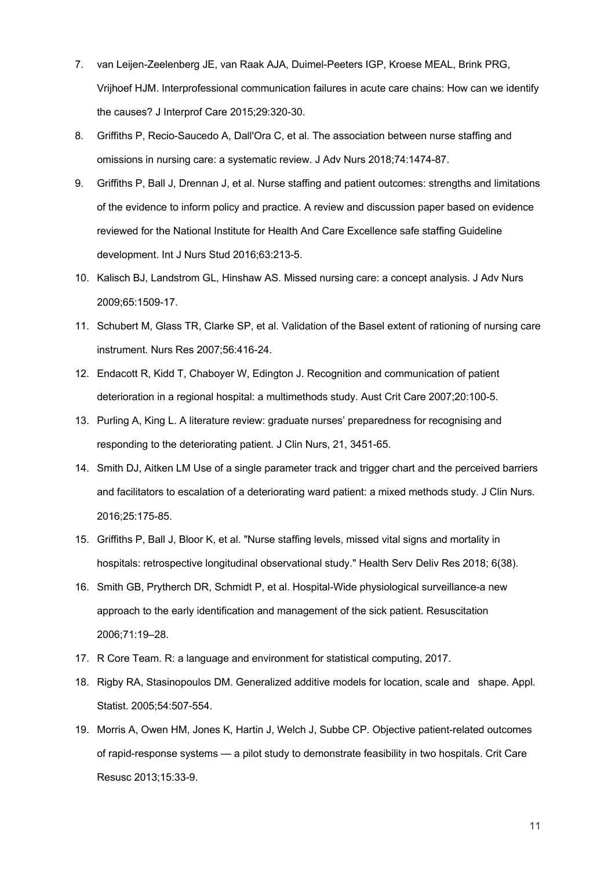- 7. van Leijen-Zeelenberg JE, van Raak AJA, Duimel-Peeters IGP, Kroese MEAL, Brink PRG, Vrijhoef HJM. Interprofessional communication failures in acute care chains: How can we identify the causes? J Interprof Care 2015;29:320-30.
- 8. Griffiths P, Recio-Saucedo A, Dall'Ora C, et al. The association between nurse staffing and omissions in nursing care: a systematic review. J Adv Nurs 2018;74:1474-87.
- 9. Griffiths P, Ball J, Drennan J, et al. Nurse staffing and patient outcomes: strengths and limitations of the evidence to inform policy and practice. A review and discussion paper based on evidence reviewed for the National Institute for Health And Care Excellence safe staffing Guideline development. Int J Nurs Stud 2016;63:213-5.
- 10. Kalisch BJ, Landstrom GL, Hinshaw AS. Missed nursing care: a concept analysis. J Adv Nurs 2009;65:1509-17.
- 11. Schubert M, Glass TR, Clarke SP, et al. Validation of the Basel extent of rationing of nursing care instrument. Nurs Res 2007;56:416-24.
- 12. Endacott R, Kidd T, Chaboyer W, Edington J. Recognition and communication of patient deterioration in a regional hospital: a multimethods study. Aust Crit Care 2007;20:100-5.
- 13. Purling A, King L. A literature review: graduate nurses' preparedness for recognising and responding to the deteriorating patient. J Clin Nurs, 21, 3451-65.
- 14. Smith DJ, Aitken LM Use of a single parameter track and trigger chart and the perceived barriers and facilitators to escalation of a deteriorating ward patient: a mixed methods study. J Clin Nurs. 2016;25:175-85.
- 15. Griffiths P, Ball J, Bloor K, et al. "Nurse staffing levels, missed vital signs and mortality in hospitals: retrospective longitudinal observational study." Health Serv Deliv Res 2018; 6(38).
- 16. Smith GB, Prytherch DR, Schmidt P, et al. Hospital-Wide physiological surveillance-a new approach to the early identification and management of the sick patient. Resuscitation 2006;71:19–28.
- 17. R Core Team. R: a language and environment for statistical computing, 2017.
- 18. Rigby RA, Stasinopoulos DM. Generalized additive models for location, scale and shape. Appl. Statist. 2005;54:507-554.
- 19. Morris A, Owen HM, Jones K, Hartin J, Welch J, Subbe CP. Objective patient-related outcomes of rapid-response systems — a pilot study to demonstrate feasibility in two hospitals. Crit Care Resusc 2013;15:33-9.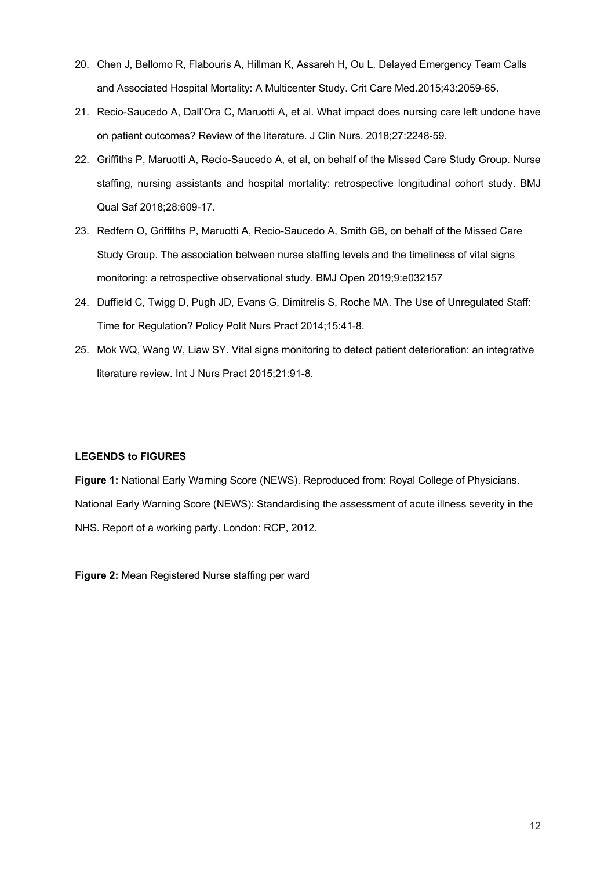- 20. Chen J, Bellomo R, Flabouris A, Hillman K, Assareh H, Ou L. Delayed Emergency Team Calls and Associated Hospital Mortality: A Multicenter Study. Crit Care Med.2015;43:2059-65.
- 21. Recio-Saucedo A, Dall'Ora C, Maruotti A, et al. What impact does nursing care left undone have on patient outcomes? Review of the literature. J Clin Nurs. 2018;27:2248-59.
- 22. Griffiths P, Maruotti A, Recio-Saucedo A, et al, on behalf of the Missed Care Study Group. Nurse staffing, nursing assistants and hospital mortality: retrospective longitudinal cohort study. BMJ Qual Saf 2018;28:609-17.
- 23. Redfern O, Griffiths P, Maruotti A, Recio-Saucedo A, Smith GB, on behalf of the Missed Care Study Group. The association between nurse staffing levels and the timeliness of vital signs monitoring: a retrospective observational study. BMJ Open 2019;9:e032157
- 24. Duffield C, Twigg D, Pugh JD, Evans G, Dimitrelis S, Roche MA. The Use of Unregulated Staff: Time for Regulation? Policy Polit Nurs Pract 2014;15:41-8.
- 25. Mok WQ, Wang W, Liaw SY. Vital signs monitoring to detect patient deterioration: an integrative literature review. Int J Nurs Pract 2015;21:91-8.

## **LEGENDS to FIGURES**

**Figure 1:** National Early Warning Score (NEWS). Reproduced from: Royal College of Physicians. National Early Warning Score (NEWS): Standardising the assessment of acute illness severity in the NHS. Report of a working party. London: RCP, 2012.

**Figure 2: Mean Registered Nurse staffing per ward**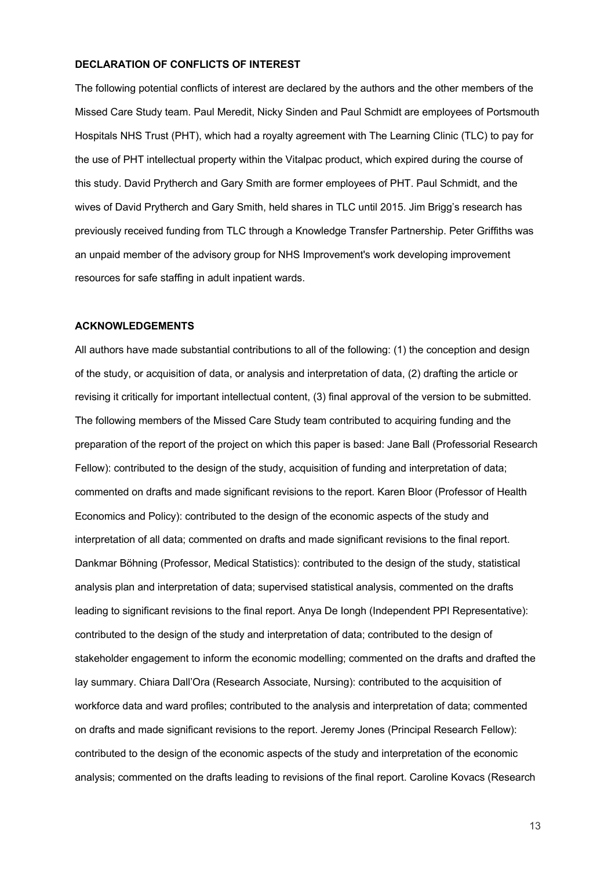## **DECLARATION OF CONFLICTS OF INTEREST**

The following potential conflicts of interest are declared by the authors and the other members of the Missed Care Study team. Paul Meredit, Nicky Sinden and Paul Schmidt are employees of Portsmouth Hospitals NHS Trust (PHT), which had a royalty agreement with The Learning Clinic (TLC) to pay for the use of PHT intellectual property within the Vitalpac product, which expired during the course of this study. David Prytherch and Gary Smith are former employees of PHT. Paul Schmidt, and the wives of David Prytherch and Gary Smith, held shares in TLC until 2015. Jim Brigg's research has previously received funding from TLC through a Knowledge Transfer Partnership. Peter Griffiths was an unpaid member of the advisory group for NHS Improvement's work developing improvement resources for safe staffing in adult inpatient wards.

## **ACKNOWLEDGEMENTS**

All authors have made substantial contributions to all of the following: (1) the conception and design of the study, or acquisition of data, or analysis and interpretation of data, (2) drafting the article or revising it critically for important intellectual content, (3) final approval of the version to be submitted. The following members of the Missed Care Study team contributed to acquiring funding and the preparation of the report of the project on which this paper is based: Jane Ball (Professorial Research Fellow): contributed to the design of the study, acquisition of funding and interpretation of data; commented on drafts and made significant revisions to the report. Karen Bloor (Professor of Health Economics and Policy): contributed to the design of the economic aspects of the study and interpretation of all data; commented on drafts and made significant revisions to the final report. Dankmar Böhning (Professor, Medical Statistics): contributed to the design of the study, statistical analysis plan and interpretation of data; supervised statistical analysis, commented on the drafts leading to significant revisions to the final report. Anya De Iongh (Independent PPI Representative): contributed to the design of the study and interpretation of data; contributed to the design of stakeholder engagement to inform the economic modelling; commented on the drafts and drafted the lay summary. Chiara Dall'Ora (Research Associate, Nursing): contributed to the acquisition of workforce data and ward profiles; contributed to the analysis and interpretation of data; commented on drafts and made significant revisions to the report. Jeremy Jones (Principal Research Fellow): contributed to the design of the economic aspects of the study and interpretation of the economic analysis; commented on the drafts leading to revisions of the final report. Caroline Kovacs (Research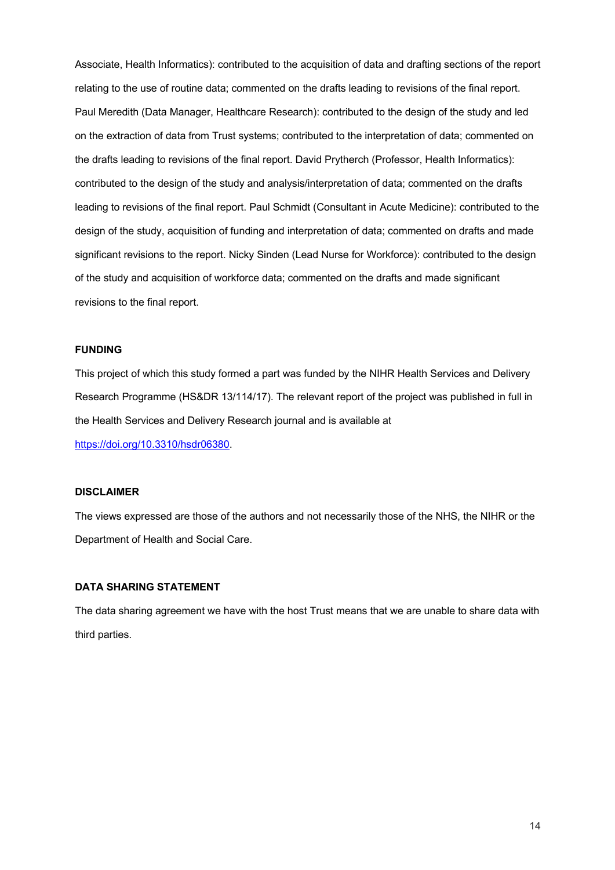Associate, Health Informatics): contributed to the acquisition of data and drafting sections of the report relating to the use of routine data; commented on the drafts leading to revisions of the final report. Paul Meredith (Data Manager, Healthcare Research): contributed to the design of the study and led on the extraction of data from Trust systems; contributed to the interpretation of data; commented on the drafts leading to revisions of the final report. David Prytherch (Professor, Health Informatics): contributed to the design of the study and analysis/interpretation of data; commented on the drafts leading to revisions of the final report. Paul Schmidt (Consultant in Acute Medicine): contributed to the design of the study, acquisition of funding and interpretation of data; commented on drafts and made significant revisions to the report. Nicky Sinden (Lead Nurse for Workforce): contributed to the design of the study and acquisition of workforce data; commented on the drafts and made significant revisions to the final report.

## **FUNDING**

This project of which this study formed a part was funded by the NIHR Health Services and Delivery Research Programme (HS&DR 13/114/17). The relevant report of the project was published in full in the Health Services and Delivery Research journal and is available at https://doi.org/10.3310/hsdr06380.

## **DISCLAIMER**

The views expressed are those of the authors and not necessarily those of the NHS, the NIHR or the Department of Health and Social Care.

## **DATA SHARING STATEMENT**

The data sharing agreement we have with the host Trust means that we are unable to share data with third parties.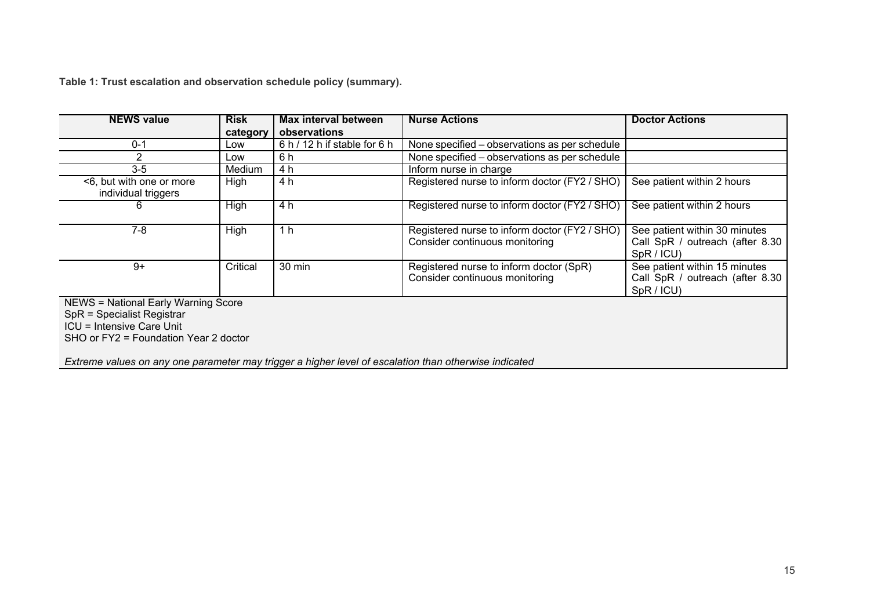**Table 1: Trust escalation and observation schedule policy (summary).** 

| <b>NEWS value</b>                                                                                                                              | <b>Risk</b> | Max interval between         | <b>Nurse Actions</b>                                                            | <b>Doctor Actions</b>                                                          |  |
|------------------------------------------------------------------------------------------------------------------------------------------------|-------------|------------------------------|---------------------------------------------------------------------------------|--------------------------------------------------------------------------------|--|
|                                                                                                                                                | category    | observations                 |                                                                                 |                                                                                |  |
| $0 - 1$                                                                                                                                        | Low         | 6 h / 12 h if stable for 6 h | None specified – observations as per schedule                                   |                                                                                |  |
| 2                                                                                                                                              | Low         | 6 h                          | None specified – observations as per schedule                                   |                                                                                |  |
| $3-5$                                                                                                                                          | Medium      | 4 h                          | Inform nurse in charge                                                          |                                                                                |  |
| <6, but with one or more<br>individual triggers                                                                                                | High        | 4 h                          | Registered nurse to inform doctor (FY2 / SHO)                                   | See patient within 2 hours                                                     |  |
| 6                                                                                                                                              | <b>High</b> | 4 h                          | Registered nurse to inform doctor (FY2 / SHO)                                   | See patient within 2 hours                                                     |  |
| 7-8                                                                                                                                            | High        | 1 h                          | Registered nurse to inform doctor (FY2 / SHO)<br>Consider continuous monitoring | See patient within 30 minutes<br>Call SpR / outreach (after 8.30<br>SpR / ICU) |  |
| $9+$                                                                                                                                           | Critical    | 30 min                       | Registered nurse to inform doctor (SpR)<br>Consider continuous monitoring       | See patient within 15 minutes<br>Call SpR / outreach (after 8.30<br>SpR / ICU) |  |
| <b>NEWS = National Early Warning Score</b><br>SpR = Specialist Registrar<br>ICU = Intensive Care Unit<br>SHO or FY2 = Foundation Year 2 doctor |             |                              |                                                                                 |                                                                                |  |

*Extreme values on any one parameter may trigger a higher level of escalation than otherwise indicated*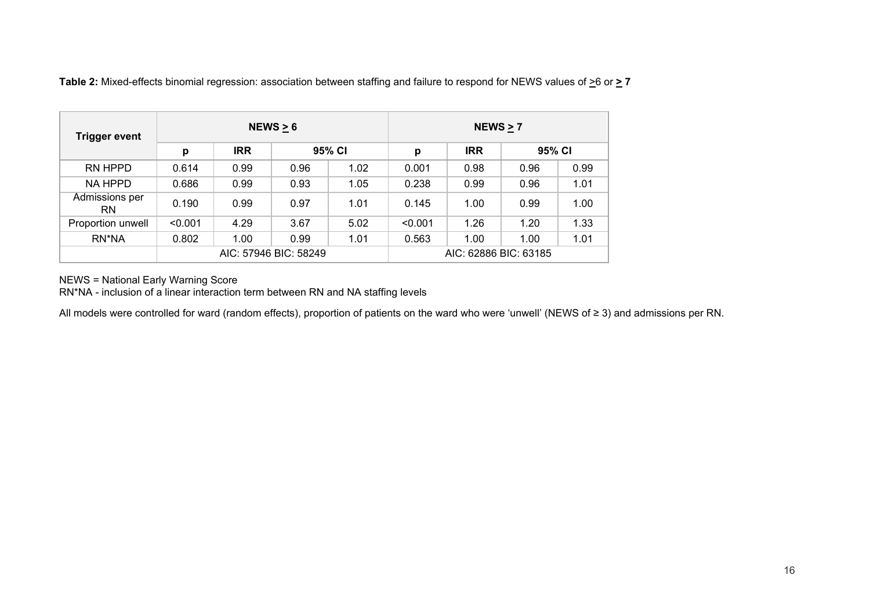| <b>Trigger event</b>        | NEWS $\geq 6$         |            |        |                       | NEWS $\geq 7$ |            |        |      |
|-----------------------------|-----------------------|------------|--------|-----------------------|---------------|------------|--------|------|
|                             | p                     | <b>IRR</b> | 95% CI |                       | р             | <b>IRR</b> | 95% CI |      |
| RN HPPD                     | 0.614                 | 0.99       | 0.96   | 1.02                  | 0.001         | 0.98       | 0.96   | 0.99 |
| <b>NA HPPD</b>              | 0.686                 | 0.99       | 0.93   | 1.05                  | 0.238         | 0.99       | 0.96   | 1.01 |
| Admissions per<br><b>RN</b> | 0.190                 | 0.99       | 0.97   | 1.01                  | 0.145         | 1.00       | 0.99   | 1.00 |
| Proportion unwell           | < 0.001               | 4.29       | 3.67   | 5.02                  | < 0.001       | 1.26       | 1.20   | 1.33 |
| RN*NA                       | 0.802                 | 1.00       | 0.99   | 1.01                  | 0.563         | 1.00       | 1.00   | 1.01 |
|                             | AIC: 57946 BIC: 58249 |            |        | AIC: 62886 BIC: 63185 |               |            |        |      |

Table 2: Mixed-effects binomial regression: association between staffing and failure to respond for NEWS values of  $\geq 6$  or  $\geq 7$ 

NEWS = National Early Warning Score

RN\*NA - inclusion of a linear interaction term between RN and NA staffing levels

All models were controlled for ward (random effects), proportion of patients on the ward who were 'unwell' (NEWS of ≥ 3) and admissions per RN.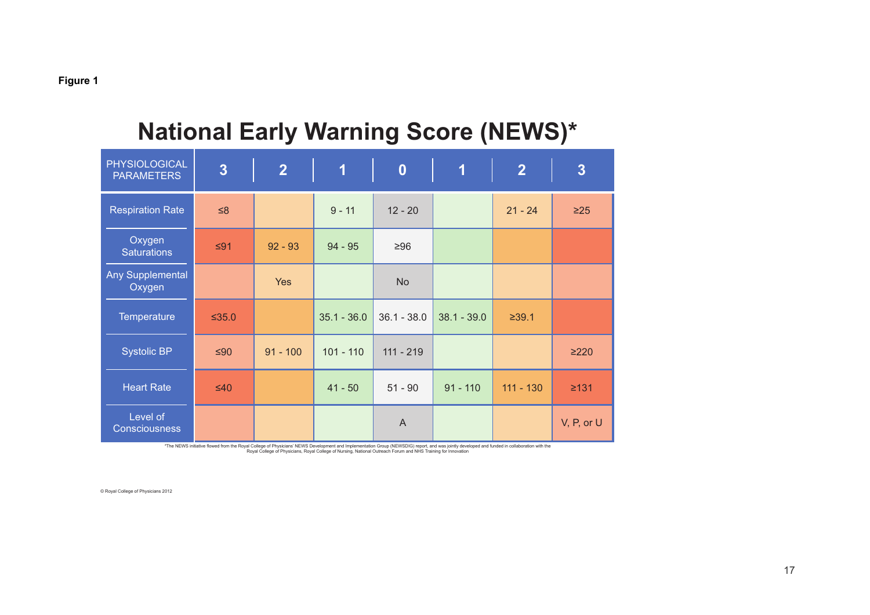| <b>PHYSIOLOGICAL</b><br><b>PARAMETERS</b> | $\overline{3}$ | $\overline{2}$ | $\overline{\mathbf{1}}$ | $\boldsymbol{0}$ | $\overline{\mathbf{1}}$ | $\overline{2}$ | $3\overline{3}$ |
|-------------------------------------------|----------------|----------------|-------------------------|------------------|-------------------------|----------------|-----------------|
| <b>Respiration Rate</b>                   | $\leq 8$       |                | $9 - 11$                | $12 - 20$        |                         | $21 - 24$      | $\geq 25$       |
| Oxygen<br><b>Saturations</b>              | $\leq 91$      | $92 - 93$      | $94 - 95$               | $\geq 96$        |                         |                |                 |
| Any Supplemental<br>Oxygen                |                | Yes            |                         | <b>No</b>        |                         |                |                 |
| Temperature                               | $≤35.0$        |                | $35.1 - 36.0$           | $36.1 - 38.0$    | $38.1 - 39.0$           | ≥39.1          |                 |
| <b>Systolic BP</b>                        | $≤90$          | $91 - 100$     | $101 - 110$             | $111 - 219$      |                         |                | $\geq$ 220      |
| <b>Heart Rate</b>                         | $\leq 40$      |                | $41 - 50$               | $51 - 90$        | $91 - 110$              | $111 - 130$    | $\geq 131$      |
| Level of<br>Consciousness                 |                |                |                         | $\mathsf{A}$     |                         |                | V, P, or U      |

# **National Early Warning Score (NEWS)\***

\*The NEWS initiative flowed from the Royal College of Physicians NEWS Development and Implementation Group (NEWSDIG) report, and was jointly developed and funded in collaboration with the<br>The NEWS initiative flower of Phys

© Royal College of Physicians 2012